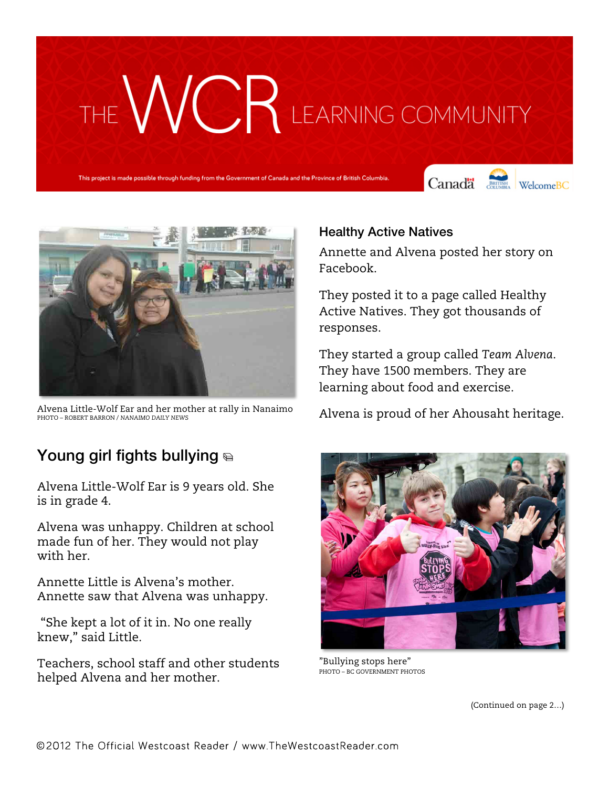# THE WCR LEARNING COMMUNITY

This project is made possible through funding from the Government of Canada and the Province of British Columbia.

Canada **Strategy** Welcome BC





Alvena Little-Wolf Ear and her mother at rally in Nanaimo PHOTO – ROBERT BARRON / *NANAIMO DAILY NEWS*

### Young girl fights bullying

Alvena Little-Wolf Ear is 9 years old. She is in grade 4.

Alvena was unhappy. Children at school made fun of her. They would not play with her.

Annette Little is Alvena's mother. Annette saw that Alvena was unhappy.

"She kept a lot of it in. No one really knew," said Little.

Teachers, school staff and other students helped Alvena and her mother.

#### Healthy Active Natives

Annette and Alvena posted her story on Facebook.

They posted it to a page called Healthy Active Natives. They got thousands of responses.

They started a group called *Team Alvena*. They have 1500 members. They are learning about food and exercise.

Alvena is proud of her Ahousaht heritage.



"Bullying stops here" PHOTO – BC GOVERNMENT PHOTOS

(Continued on page 2…)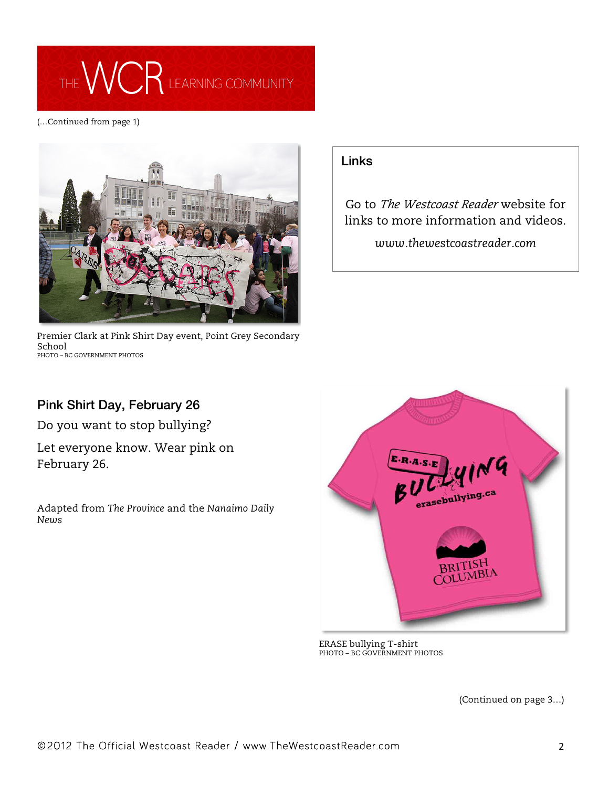## THE WCR LEARNING COMMUNITY

(…Continued from page 1)



Premier Clark at Pink Shirt Day event, Point Grey Secondary School PHOTO – BC GOVERNMENT PHOTOS

### Links

Go to *The Westcoast Reader* website for links to more information and videos.

*www.thewestcoastreader.com*

### Pink Shirt Day, February 26

Do you want to stop bullying?

Let everyone know. Wear pink on February 26.

Adapted from *The Province* and the *Nanaimo Daily News*



ERASE bullying T-shirt PHOTO – BC GOVERNMENT PHOTOS

(Continued on page 3…)